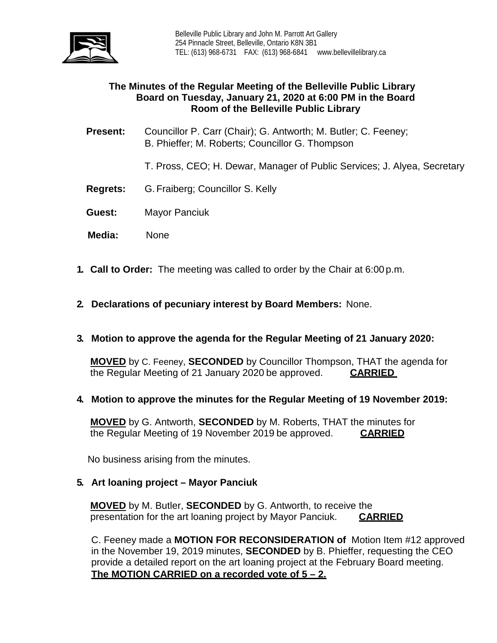

# **The Minutes of the Regular Meeting of the Belleville Public Library Board on Tuesday, January 21, 2020 at 6:00 PM in the Board Room of the Belleville Public Library**

- **Present:** Councillor P. Carr (Chair); G. Antworth; M. Butler; C. Feeney; B. Phieffer; M. Roberts; Councillor G. Thompson
	- T. Pross, CEO; H. Dewar, Manager of Public Services; J. Alyea, Secretary
- **Regrets:** G.Fraiberg; Councillor S. Kelly
- **Guest:** Mayor Panciuk
- **Media:** None
- **1. Call to Order:** The meeting was called to order by the Chair at 6:00 p.m.
- **2. Declarations of pecuniary interest by Board Members:** None.
- **3. Motion to approve the agenda for the Regular Meeting of 21 January 2020:**

**MOVED** by C. Feeney, **SECONDED** by Councillor Thompson, THAT the agenda for the Regular Meeting of 21 January 2020 be approved. **CARRIED**

**4. Motion to approve the minutes for the Regular Meeting of 19 November 2019:**

**MOVED** by G. Antworth, **SECONDED** by M. Roberts, THAT the minutes for the Regular Meeting of 19 November 2019 be approved. **CARRIED**

No business arising from the minutes.

**5. Art loaning project – Mayor Panciuk**

**MOVED** by M. Butler, **SECONDED** by G. Antworth, to receive the presentation for the art loaning project by Mayor Panciuk. **CARRIED**

C. Feeney made a **MOTION FOR RECONSIDERATION of** Motion Item #12 approved in the November 19, 2019 minutes, **SECONDED** by B. Phieffer, requesting the CEO provide a detailed report on the art loaning project at the February Board meeting. **The MOTION CARRIED on a recorded vote of 5 – 2.**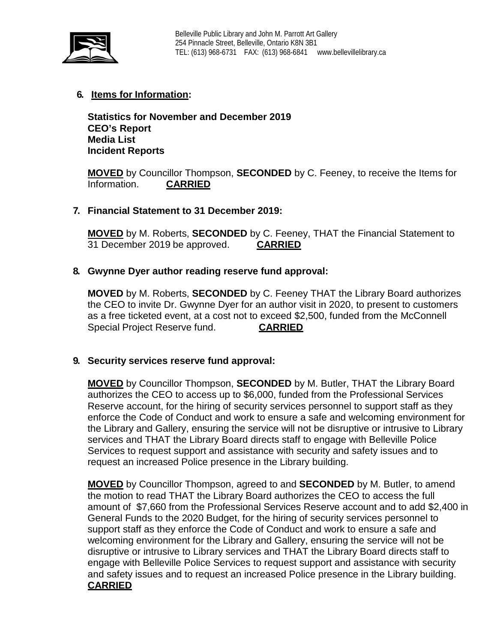

# **6. Items for Information:**

**Statistics for November and December 2019 CEO's Report Media List Incident Reports**

**MOVED** by Councillor Thompson, **SECONDED** by C. Feeney, to receive the Items for Information. **CARRIED** 

## **7. Financial Statement to 31 December 2019:**

**MOVED** by M. Roberts, **SECONDED** by C. Feeney, THAT the Financial Statement to 31 December 2019 be approved. **CARRIED**

## **8. Gwynne Dyer author reading reserve fund approval:**

**MOVED** by M. Roberts, **SECONDED** by C. Feeney THAT the Library Board authorizes the CEO to invite Dr. Gwynne Dyer for an author visit in 2020, to present to customers as a free ticketed event, at a cost not to exceed \$2,500, funded from the McConnell Special Project Reserve fund. **CARRIED**

## **9. Security services reserve fund approval:**

**MOVED** by Councillor Thompson, **SECONDED** by M. Butler, THAT the Library Board authorizes the CEO to access up to \$6,000, funded from the Professional Services Reserve account, for the hiring of security services personnel to support staff as they enforce the Code of Conduct and work to ensure a safe and welcoming environment for the Library and Gallery, ensuring the service will not be disruptive or intrusive to Library services and THAT the Library Board directs staff to engage with Belleville Police Services to request support and assistance with security and safety issues and to request an increased Police presence in the Library building.

**MOVED** by Councillor Thompson, agreed to and **SECONDED** by M. Butler, to amend the motion to read THAT the Library Board authorizes the CEO to access the full amount of \$7,660 from the Professional Services Reserve account and to add \$2,400 in General Funds to the 2020 Budget, for the hiring of security services personnel to support staff as they enforce the Code of Conduct and work to ensure a safe and welcoming environment for the Library and Gallery, ensuring the service will not be disruptive or intrusive to Library services and THAT the Library Board directs staff to engage with Belleville Police Services to request support and assistance with security and safety issues and to request an increased Police presence in the Library building. **CARRIED**